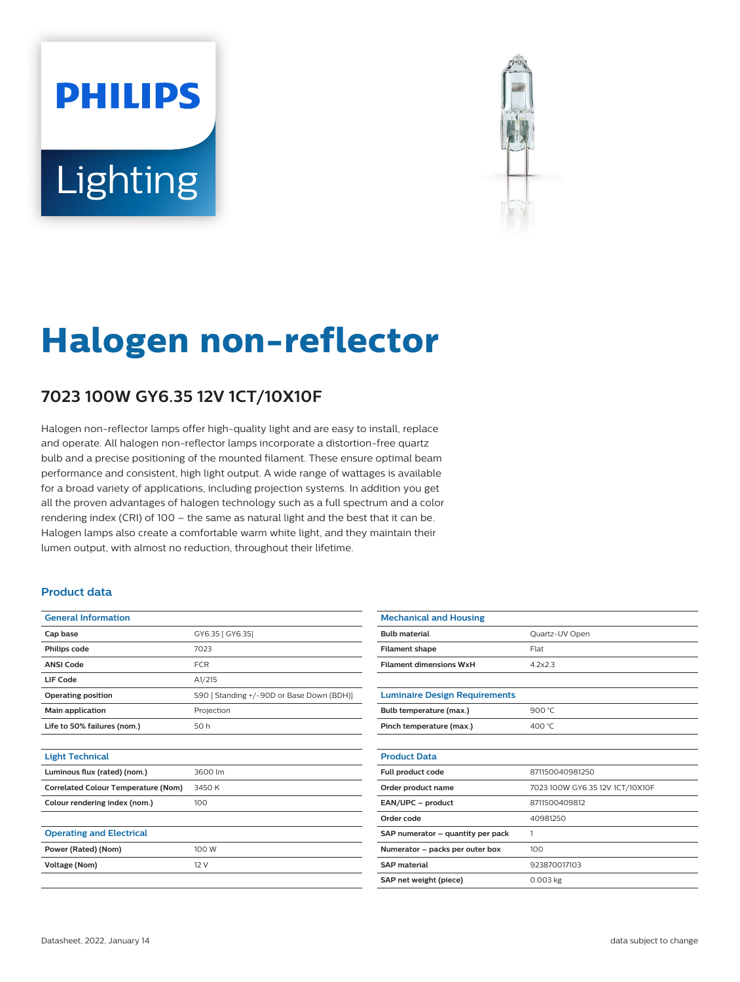# **PHILIPS** Lighting



# **Halogen non-reflector**

## **7023 100W GY6.35 12V 1CT/10X10F**

Halogen non-reflector lamps offer high-quality light and are easy to install, replace and operate. All halogen non-reflector lamps incorporate a distortion-free quartz bulb and a precise positioning of the mounted filament. These ensure optimal beam performance and consistent, high light output. A wide range of wattages is available for a broad variety of applications, including projection systems. In addition you get all the proven advantages of halogen technology such as a full spectrum and a color rendering index (CRI) of 100 – the same as natural light and the best that it can be. Halogen lamps also create a comfortable warm white light, and they maintain their lumen output, with almost no reduction, throughout their lifetime.

### **Product data**

| <b>General Information</b>                 |                                           |  |  |  |  |
|--------------------------------------------|-------------------------------------------|--|--|--|--|
| Cap base                                   | GY6.35 [ GY6.35]                          |  |  |  |  |
| Philips code                               | 7023                                      |  |  |  |  |
| <b>ANSI Code</b>                           | <b>FCR</b>                                |  |  |  |  |
| LIF Code                                   | A1/215                                    |  |  |  |  |
| <b>Operating position</b>                  | S90 [ Standing +/-90D or Base Down (BDH)] |  |  |  |  |
| Main application                           | Projection                                |  |  |  |  |
| Life to 50% failures (nom.)                | 50 h                                      |  |  |  |  |
|                                            |                                           |  |  |  |  |
| <b>Light Technical</b>                     |                                           |  |  |  |  |
| Luminous flux (rated) (nom.)               | 3600 lm                                   |  |  |  |  |
| <b>Correlated Colour Temperature (Nom)</b> | 3450 K                                    |  |  |  |  |
| Colour rendering index (nom.)              | 100                                       |  |  |  |  |
|                                            |                                           |  |  |  |  |
| <b>Operating and Electrical</b>            |                                           |  |  |  |  |
| Power (Rated) (Nom)                        | 100 W                                     |  |  |  |  |
| Voltage (Nom)                              | 12 V                                      |  |  |  |  |
|                                            |                                           |  |  |  |  |

| <b>Mechanical and Housing</b>        |                                 |  |  |  |  |  |
|--------------------------------------|---------------------------------|--|--|--|--|--|
| <b>Bulb material</b>                 | Quartz-UV Open                  |  |  |  |  |  |
| <b>Filament shape</b>                | Flat                            |  |  |  |  |  |
| <b>Filament dimensions WxH</b>       | 4.2x2.3                         |  |  |  |  |  |
|                                      |                                 |  |  |  |  |  |
| <b>Luminaire Design Requirements</b> |                                 |  |  |  |  |  |
| Bulb temperature (max.)              | 900 °C                          |  |  |  |  |  |
| Pinch temperature (max.)             | 400 °C                          |  |  |  |  |  |
|                                      |                                 |  |  |  |  |  |
| <b>Product Data</b>                  |                                 |  |  |  |  |  |
| Full product code                    | 871150040981250                 |  |  |  |  |  |
| Order product name                   | 7023 100W GY6.35 12V 1CT/10X10F |  |  |  |  |  |
| EAN/UPC - product                    | 8711500409812                   |  |  |  |  |  |
| Order code                           | 40981250                        |  |  |  |  |  |
| SAP numerator - quantity per pack    | 1                               |  |  |  |  |  |
| Numerator - packs per outer box      | 100                             |  |  |  |  |  |
| <b>SAP</b> material                  | 923870017103                    |  |  |  |  |  |
| SAP net weight (piece)               | $0.003$ kg                      |  |  |  |  |  |
|                                      |                                 |  |  |  |  |  |